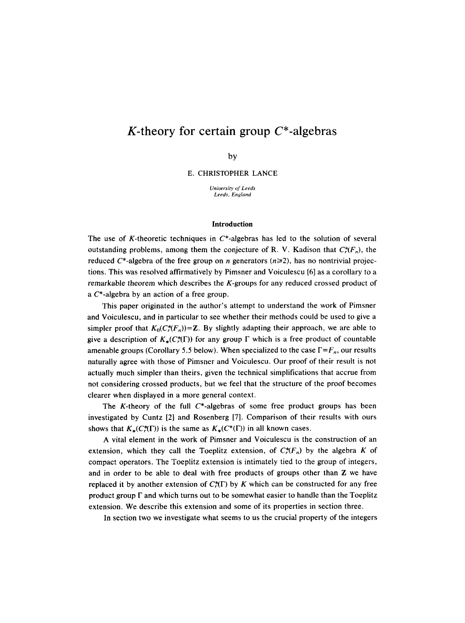# **K-theory for certain group C\*-algebras**

by

E. CHRISTOPHER LANCE

*University of Leeds Leeds, England* 

#### **Introduction**

The use of K-theoretic techniques in  $C^*$ -algebras has led to the solution of several outstanding problems, among them the conjecture of R. V. Kadison that  $C_r^*(F_n)$ , the reduced  $C^*$ -algebra of the free group on *n* generators ( $n \ge 2$ ), has no nontrivial projections. This was resolved affirmatively by Pimsner and Voiculescu [6] as a corollary to a remarkable theorem which describes the K-groups for any reduced crossed product of a C\*-algebra by an action of a free group.

This paper originated in the author's attempt to understand the work of Pimsner and Voiculescu, and in particular to see whether their methods could be used to give a simpler proof that  $K_0(C^*_r(F_n))=Z$ . By slightly adapting their approach, we are able to give a description of  $K_{\star}(C_{\star}^{*}(\Gamma))$  for any group  $\Gamma$  which is a free product of countable amenable groups (Corollary 5.5 below). When specialized to the case  $\Gamma = F_n$ , our results naturally agree with those of Pimsner and Voiculescu. Our proof of their result is not actually much simpler than theirs, given the technical simplifications that accrue from not considering crossed products, but we feel that the structure of the proof becomes clearer when displayed in a more general context.

The K-theory of the full  $C^*$ -algebras of some free product groups has been investigated by Cuntz [2] and Rosenberg [7]. Comparison of their results with ours shows that  $K_*(C^*_r(\Gamma))$  is the same as  $K_*(C^*(\Gamma))$  in all known cases.

A vital element in the work of Pimsner and Voiculescu is the construction of an extension, which they call the Toeplitz extension, of  $C_r^*(F_n)$  by the algebra K of compact operators. The Toeplitz extension is intimately tied to the group of integers, and in order to be able to deal with free products of groups other than Z we have replaced it by another extension of  $C^*(\Gamma)$  by K which can be constructed for any free product group  $\Gamma$  and which turns out to be somewhat easier to handle than the Toeplitz extension. We describe this extension and some of its properties in section three.

In section two we investigate what seems to us the crucial property of the integers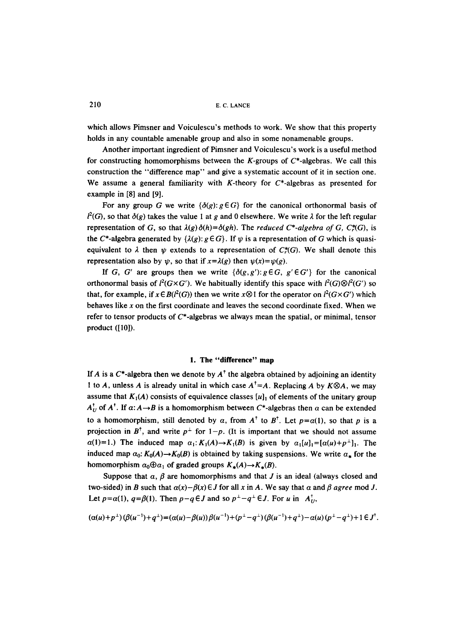which allows Pimsner and Voiculescu's methods to work. We show that this property holds in any countable amenable group and also in some nonamenable groups.

Another important ingredient of Pimsner and Voiculescu's work is a useful method for constructing homomorphisms between the K-groups of  $C^*$ -algebras. We call this construction the "difference map" and give a systematic account of it in section one. We assume a general familiarity with K-theory for  $C^*$ -algebras as presented for example in [8] and [9].

For any group G we write  $\{\delta(g): g \in G\}$  for the canonical orthonormal basis of  $l^{2}(G)$ , so that  $\delta(g)$  takes the value 1 at g and 0 elsewhere. We write  $\lambda$  for the left regular representation of G, so that  $\lambda(g)\delta(h)=\delta(gh)$ . The *reduced* C\*-algebra of G, C $\sharp$ (G), is the C\*-algebra generated by  $\{\lambda(g): g \in G\}$ . If  $\psi$  is a representation of G which is quasiequivalent to  $\lambda$  then  $\psi$  extends to a representation of *C*<sub> $*$ </sub>(*G*). We shall denote this representation also by  $\psi$ , so that if  $x=\lambda(g)$  then  $\psi(x)=\psi(g)$ .

If G, G' are groups then we write  $\{\delta(g,g') : g \in G, g' \in G'\}$  for the canonical orthonormal basis of  $l^2(G\times G')$ . We habitually identify this space with  $l^2(G)\otimes l^2(G')$  so that, for example, if  $x \in B(l^2(G))$  then we write  $x \otimes 1$  for the operator on  $l^2(G \times G')$  which behaves like x on the first coordinate and leaves the second coordinate fixed. When we refer to tensor products of C\*-algebras we always mean the spatial, or minimal, tensor product ([I0]).

# **1. The "difference" map**

If A is a  $C^*$ -algebra then we denote by  $A^{\dagger}$  the algebra obtained by adjoining an identity 1 to A, unless A is already unital in which case  $A^{\dagger} = A$ . Replacing A by  $K \otimes A$ , we may assume that  $K_1(A)$  consists of equivalence classes  $[u]_1$  of elements of the unitary group  $A_U^{\dagger}$  of  $A^{\dagger}$ . If  $\alpha: A \rightarrow B$  is a homomorphism between C\*-algebras then  $\alpha$  can be extended to a homomorphism, still denoted by  $\alpha$ , from  $A^{\dagger}$  to  $B^{\dagger}$ . Let  $p = \alpha(1)$ , so that p is a projection in  $B^{\dagger}$ , and write  $p^{\perp}$  for  $1-p$ . (It is important that we should not assume  $\alpha(1)=1$ .) The induced map  $\alpha_1: K_1(A) \rightarrow K_1(B)$  is given by  $\alpha_1[u]_1=[\alpha(u)+p^{\perp}]_1$ . The induced map  $\alpha_0$ :  $K_0(A) \rightarrow K_0(B)$  is obtained by taking suspensions. We write  $\alpha_{\star}$  for the homomorphism  $\alpha_0 \oplus \alpha_1$  of graded groups  $K_*(A) \rightarrow K_*(B)$ .

Suppose that  $\alpha$ ,  $\beta$  are homomorphisms and that J is an ideal (always closed and two-sided) in B such that  $\alpha(x)-\beta(x) \in J$  for all x in A. We say that  $\alpha$  and  $\beta$  agree mod J. Let  $p=a(1)$ ,  $q=\beta(1)$ . Then  $p-q \in J$  and so  $p^{\perp}-q^{\perp} \in J$ . For u in  $A_{U}^{\dagger}$ ,

$$
(\alpha(u)+p^{\perp})(\beta(u^{-1})+q^{\perp})=(\alpha(u)-\beta(u))\beta(u^{-1})+(p^{\perp}-q^{\perp})(\beta(u^{-1})+q^{\perp})-\alpha(u)(p^{\perp}-q^{\perp})+1\in J^{\dagger}.
$$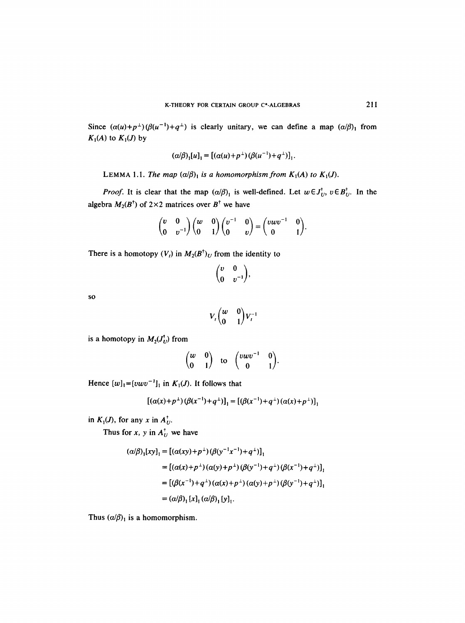Since  $(\alpha(u)+p^{\perp})(\beta(u^{-1})+q^{\perp})$  is clearly unitary, we can define a map  $(\alpha/\beta)$  from  $K_1(A)$  to  $K_1(J)$  by

$$
(\alpha/\beta)_1[u]_1 = [(\alpha(u)+p^{\perp})(\beta(u^{-1})+q^{\perp})]_1.
$$

LEMMA 1.1. *The map*  $(\alpha/\beta)_1$  *is a homomorphism from K<sub>1</sub>(A) to K<sub>1</sub>(J).* 

*Proof.* It is clear that the map  $(\alpha/\beta)_1$  is well-defined. Let  $w \in J_U^{\dagger}$ ,  $v \in B_U^{\dagger}$ . In the algebra  $M_2(B^{\dagger})$  of 2×2 matrices over  $B^{\dagger}$  we have

$$
\begin{pmatrix} v & 0 \\ 0 & v^{-1} \end{pmatrix} \begin{pmatrix} w & 0 \\ 0 & 1 \end{pmatrix} \begin{pmatrix} v^{-1} & 0 \\ 0 & v \end{pmatrix} = \begin{pmatrix} v w v^{-1} & 0 \\ 0 & 1 \end{pmatrix}.
$$

There is a homotopy  $(V_t)$  in  $M_2(B^{\dagger})_U$  from the identity to

$$
\begin{pmatrix} v & 0 \\ 0 & v^{-1} \end{pmatrix},
$$

SO

$$
V_t\begin{pmatrix}w&0\\0&1\end{pmatrix}V_t^{-1}
$$

is a homotopy in  $M_2(J_U^{\dagger})$  from

$$
\begin{pmatrix} w & 0 \\ 0 & 1 \end{pmatrix}
$$
 to 
$$
\begin{pmatrix} vwv^{-1} & 0 \\ 0 & 1 \end{pmatrix}
$$
.

Hence  $[w]_1=[vwv^{-1}]_1$  in  $K_1(J)$ . It follows that

$$
[(\alpha(x)+p^{\perp})(\beta(x^{-1})+q^{\perp})]_1 = [(\beta(x^{-1})+q^{\perp})(\alpha(x)+p^{\perp})]_1
$$

in  $K_1(J)$ , for any x in  $A_U^{\dagger}$ .

Thus for *x*, *y* in  $A_U^{\dagger}$  we have

$$
(\alpha/\beta)_1 [xy]_1 = [(\alpha(xy) + p^{\perp})(\beta(y^{-1}x^{-1}) + q^{\perp})]_1
$$
  
\n
$$
= [(\alpha(x) + p^{\perp})(\alpha(y) + p^{\perp})(\beta(y^{-1}) + q^{\perp})(\beta(x^{-1}) + q^{\perp})]_1
$$
  
\n
$$
= [(\beta(x^{-1}) + q^{\perp})(\alpha(x) + p^{\perp})(\alpha(y) + p^{\perp})(\beta(y^{-1}) + q^{\perp})]_1
$$
  
\n
$$
= (\alpha/\beta)_1 [x]_1 (\alpha/\beta)_1 [y]_1.
$$

Thus  $(\alpha/\beta)_1$  is a homomorphism.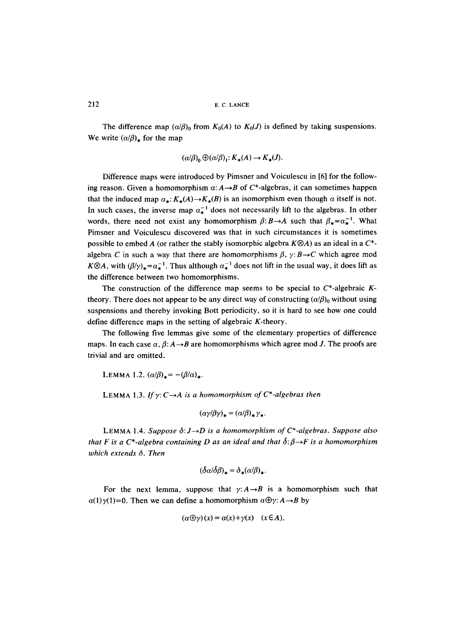The difference map  $(a/\beta)_0$  from  $K_0(A)$  to  $K_0(J)$  is defined by taking suspensions. We write  $(\alpha/\beta)_*$  for the map

$$
(\alpha/\beta)_0 \oplus (\alpha/\beta)_1: K_*(A) \to K_*(J).
$$

Difference maps were introduced by Pimsner and Voiculescu in [6] for the following reason. Given a homomorphism  $\alpha: A \rightarrow B$  of C\*-algebras, it can sometimes happen that the induced map  $\alpha_*: K_*(A) \to K_*(B)$  is an isomorphism even though  $\alpha$  itself is not. In such cases, the inverse map  $\alpha_*^{-1}$  does not necessarily lift to the algebras. In other words, there need not exist any homomorphism  $\beta: B \rightarrow A$  such that  $\beta_* = \alpha_*^{-1}$ . What Pimsner and Voiculescu discovered was that in such circumstances it is sometimes possible to embed A (or rather the stably isomorphic algebra  $K \otimes A$ ) as an ideal in a C<sup>\*</sup>algebra C in such a way that there are homomorphisms  $\beta$ ,  $\gamma: B \rightarrow C$  which agree mod *K* $\otimes$ *A*, with  $(\beta/\gamma)_* = \alpha_*^{-1}$ . Thus although  $\alpha_*^{-1}$  does not lift in the usual way, it does lift as the difference between two homomorphisms.

The construction of the difference map seems to be special to  $C^*$ -algebraic Ktheory. There does not appear to be any direct way of constructing  $(a/\beta)_0$  without using suspensions and thereby invoking Bott periodicity, so it is hard to see how one could define difference maps in the setting of algebraic K-theory,

The following five lemmas give some of the elementary properties of difference maps. In each case  $\alpha$ ,  $\beta$ :  $A \rightarrow B$  are homomorphisms which agree mod J. The proofs are trivial and are omitted.

LEMMA 1.2.  $(a/\beta)_* = -(\beta/\alpha)_*.$ 

LEMMA 1.3. If  $\gamma: C \rightarrow A$  is a homomorphism of  $C^*$ -algebras then

$$
(\alpha \gamma/\beta \gamma)_* = (\alpha/\beta)_* \gamma_*.
$$

LEMMA 1.4. *Suppose*  $\delta: J \rightarrow D$  is a homomorphism of  $C^*$ -algebras. Suppose also *that F is a C\*-algebra containing D as an ideal and that*  $\delta:\beta\rightarrow F$  *is a homomorphism which extends 6. Then* 

$$
(\delta a/\delta \beta)_* = \delta_*(a/\beta)_*.
$$

For the next lemma, suppose that  $\gamma: A \rightarrow B$  is a homomorphism such that  $\alpha(1)\gamma(1)=0$ . Then we can define a homomorphism  $\alpha \oplus \gamma: A \rightarrow B$  by

$$
(\alpha \oplus \gamma)(x) = \alpha(x) + \gamma(x) \quad (x \in A).
$$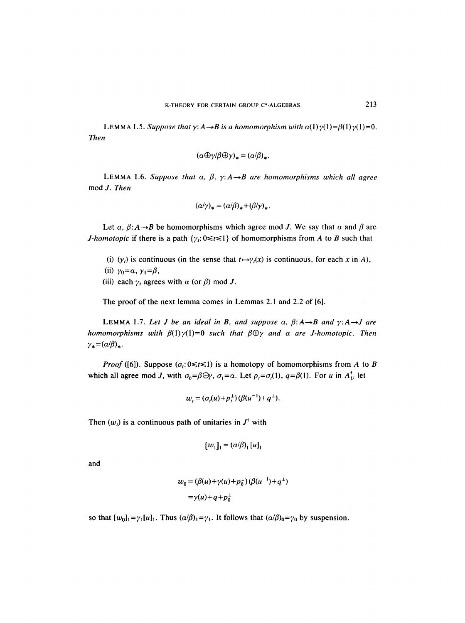LEMMA 1.5. *Suppose that y: A*  $\rightarrow$ *B is a homomorphism with a(1)y(1)=* $\beta(1)\gamma(1)=0$ *. Then* 

$$
(\alpha \textcolor{red}{\oplus} \gamma/\beta \textcolor{red}{\oplus} \gamma)_* = (\alpha/\beta)_*.
$$

LEMMA 1.6. Suppose that  $\alpha$ ,  $\beta$ ,  $\gamma$ :  $A \rightarrow B$  are homomorphisms which all agree mod *J. Then* 

$$
(\alpha/\gamma)_* = (\alpha/\beta)_* + (\beta/\gamma)_*.
$$

Let  $\alpha$ ,  $\beta$ :  $A \rightarrow B$  be homomorphisms which agree mod J. We say that  $\alpha$  and  $\beta$  are *J-homotopic* if there is a path  $\{\gamma_t: 0 \le t \le 1\}$  of homomorphisms from A to B such that

- (i)  $(\gamma_t)$  is continuous (in the sense that  $t \mapsto \gamma_t(x)$  is continuous, for each x in A),
- (ii)  $\gamma_0 = \alpha$ ,  $\gamma_1 = \beta$ ,
- (iii) each  $\gamma_t$  agrees with  $\alpha$  (or  $\beta$ ) mod J.

The proof of the next lemma comes in Lemmas 2.1 and 2.2 of [6].

LEMMA 1.7. Let *J* be an ideal in *B*, and suppose  $\alpha$ ,  $\beta$ :  $A \rightarrow B$  and  $\gamma$ :  $A \rightarrow J$  are *homomorphisms with*  $\beta(1)\gamma(1)=0$  *such that*  $\beta\oplus\gamma$  *and a are J-homotopic. Then*  $\gamma_* = (\alpha/\beta)_*.$ 

*Proof* ([6]). Suppose  $(\sigma_i: 0 \le t \le 1)$  is a homotopy of homomorphisms from A to B which all agree mod *J*, with  $\sigma_0 = \beta \oplus \gamma$ ,  $\sigma_1 = \alpha$ . Let  $p_t = \sigma_1(1)$ ,  $q = \beta(1)$ . For *u* in  $A_U^+$  let

$$
w_t = (\sigma_t(u) + p_t^{\perp}) (\beta(u^{-1}) + q^{\perp}).
$$

Then  $(w<sub>t</sub>)$  is a continuous path of unitaries in  $J<sup>†</sup>$  with

$$
[w_1]_1 = (\alpha/\beta)_1 [u]_1
$$

and

$$
w_0 = (\beta(u) + \gamma(u) + p_0^{\perp}) (\beta(u^{-1}) + q^{\perp})
$$
  
=  $\gamma(u) + q + p_0^{\perp}$ 

so that  $[w_0]_1 = \gamma_1[u]_1$ . Thus  $(\alpha/\beta)_1 = \gamma_1$ . It follows that  $(\alpha/\beta)_0 = \gamma_0$  by suspension.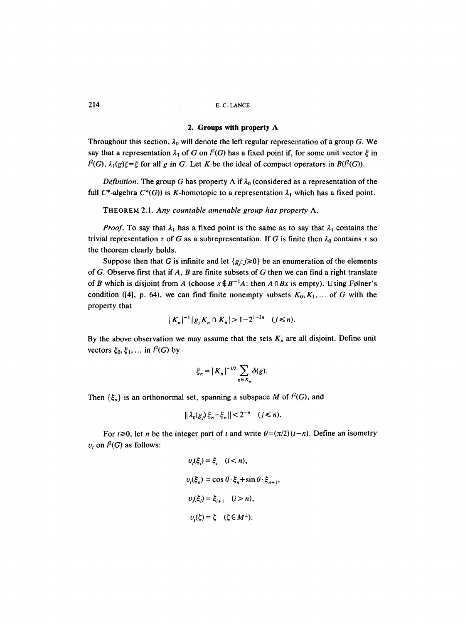# **2. Groups with property A**

Throughout this section,  $\lambda_0$  will denote the left regular representation of a group G. We say that a representation  $\lambda_1$  of G on  $l^2(G)$  has a fixed point if, for some unit vector  $\xi$  in  $l^2(G)$ ,  $\lambda_1(g)\xi = \xi$  for all g in G. Let K be the ideal of compact operators in  $B(l^2(G))$ .

*Definition.* The group G has property  $\Lambda$  if  $\lambda_0$  (considered as a representation of the full  $C^*$ -algebra  $C^*(G)$ ) is K-homotopic to a representation  $\lambda_1$  which has a fixed point.

THEOREM 2.1. *Any countable amenable group has property A.* 

*Proof.* To say that  $\lambda_1$  has a fixed point is the same as to say that  $\lambda_1$  contains the trivial representation  $\tau$  of G as a subrepresentation. If G is finite then  $\lambda_0$  contains  $\tau$  so the theorem clearly holds.

Suppose then that G is infinite and let  $\{g_i:j\geq 0\}$  be an enumeration of the elements of G. Observe first that if  $A$ ,  $B$  are finite subsets of  $G$  then we can find a right translate of B which is disjoint from A (choose  $x \notin B^{-1}A$ : then  $A \cap Bx$  is empty). Using Følner's condition ([4], p. 64), we can find finite nonempty subsets  $K_0, K_1, \ldots$  of G with the property that

$$
|K_n|^{-1} |g_j K_n \cap K_n| > 1 - 2^{1-2n} \quad (j \le n).
$$

By the above observation we may assume that the sets  $K_n$  are all disjoint. Define unit vectors  $\xi_0, \xi_1, \dots$  in  $l^2(G)$  by

$$
\xi_n = |K_n|^{-1/2} \sum_{g \in K_n} \delta(g).
$$

Then  $\{\xi_n\}$  is an orthonormal set, spanning a subspace M of  $l^2(G)$ , and

$$
\|\lambda_0(g_j)\,\xi_n-\xi_n\|<2^{-n}\quad (j\leq n).
$$

For  $t \ge 0$ , let *n* be the integer part of t and write  $\theta = (\pi/2)(t-n)$ . Define an isometry  $v_t$  on  $l^2(G)$  as follows:

$$
v_i(\xi_i) = \xi_i \quad (i < n),
$$
\n
$$
v_i(\xi_n) = \cos \theta \cdot \xi_n + \sin \theta \cdot \xi_{n+1},
$$
\n
$$
v_i(\xi_i) = \xi_{i+1} \quad (i > n),
$$
\n
$$
v_i(\xi) = \xi \quad (\xi \in M^{\perp}).
$$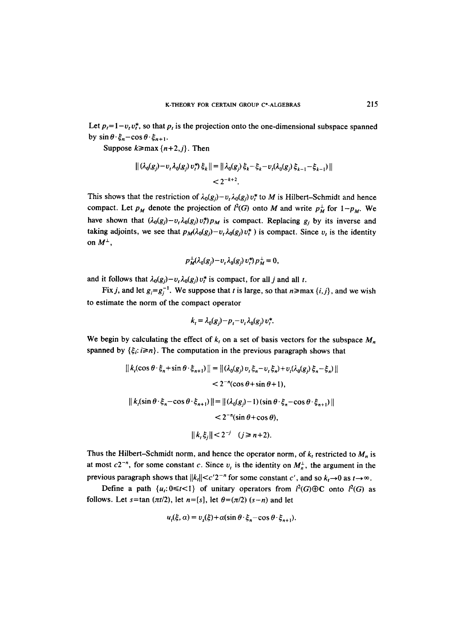Let  $p_t = 1-v_t v_t^*$ , so that  $p_t$  is the projection onto the one-dimensional subspace spanned by  $\sin \theta \cdot \xi_n - \cos \theta \cdot \xi_{n+1}$ .

Suppose  $k \geq max\{n+2,j\}$ . Then

$$
\begin{aligned} ||(\lambda_0(g_j) - \nu, \lambda_0(g_j) \nu_i^*) \xi_k|| &= ||\lambda_0(g_j) \xi_k - \xi_k - \nu_i(\lambda_0(g_j) \xi_{k-1} - \xi_{k-1})|| \\ &< 2^{-k+2} .\end{aligned}
$$

This shows that the restriction of  $\lambda_0(g_j)-v_t \lambda_0(g_j)v_t^*$  to M is Hilbert-Schmidt and hence compact. Let  $p_M$  denote the projection of  $l^2(G)$  onto M and write  $p_M^{\perp}$  for  $1-p_M$ . We have shown that  $(\lambda_0(g_j)-v_t\lambda_0(g_j)v_t^*)p_M$  is compact. Replacing  $g_j$  by its inverse and taking adjoints, we see that  $p_M(\lambda_0(g_i)-v_t\lambda_0(g_i)v_t^*)$  is compact. Since  $v_t$  is the identity on  $M^{\perp}$ .

$$
p_M^{\perp}(\lambda_0(g_j)-v_t\lambda_0(g_j)v_t^*)\,p_M^{\perp}=0,
$$

and it follows that  $\lambda_0(g_j)-v_t\lambda_0(g_j)v_t^*$  is compact, for all j and all t.

Fix *j*, and let  $g_i = g_i^{-1}$ . We suppose that *t* is large, so that  $n \ge \max\{i, j\}$ , and we wish to estimate the norm of the compact operator

$$
k_i = \lambda_0(g_j) - p_i - v_i \lambda_0(g_j) v_i^*.
$$

We begin by calculating the effect of  $k<sub>t</sub>$  on a set of basis vectors for the subspace  $M<sub>n</sub>$ spanned by  $\{\xi_i: i \geq n\}$ . The computation in the previous paragraph shows that

$$
||k_{t}(\cos\theta \cdot \xi_{n} + \sin\theta \cdot \xi_{n+1})|| = ||(\lambda_{0}(g_{j})v_{t}\xi_{n} - v_{t}\xi_{n}) + v_{t}(\lambda_{0}(g_{j})\xi_{n} - \xi_{n})||
$$
  

$$
< 2^{-n}(\cos\theta + \sin\theta + 1),
$$
  

$$
||k_{t}(\sin\theta \cdot \xi_{n} - \cos\theta \cdot \xi_{n+1})|| = ||(\lambda_{0}(g_{j}) - 1)(\sin\theta \cdot \xi_{n} - \cos\theta \cdot \xi_{n+1})||
$$
  

$$
< 2^{-n}(\sin\theta + \cos\theta),
$$
  

$$
||k_{t}\xi_{j}|| < 2^{-j} \quad (j \ge n+2).
$$

Thus the Hilbert-Schmidt norm, and hence the operator norm, of  $k_t$  restricted to  $M_n$  is at most  $c2^{-n}$ , for some constant c. Since  $v_t$  is the identity on  $M_n^{\perp}$ , the argument in the previous paragraph shows that  $||k_t|| < c'2^{-n}$  for some constant c', and so  $k_t \rightarrow 0$  as  $t \rightarrow \infty$ .

Define a path  $\{u_i: 0 \le t < 1\}$  of unitary operators from  $l^2(G) \oplus C$  onto  $l^2(G)$  as follows. Let  $s=$ tan  $(\pi t/2)$ , let  $n=[s]$ , let  $\theta=(\pi/2)$   $(s-n)$  and let

$$
u_{t}(\xi,\alpha)=v_{s}(\xi)+\alpha(\sin\theta\cdot\xi_{n}-\cos\theta\cdot\xi_{n+1}).
$$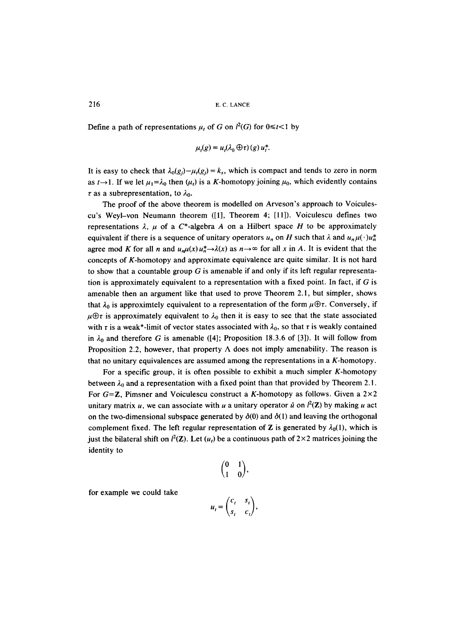Define a path of representations  $\mu_t$  of G on  $l^2(G)$  for  $0 \le t < 1$  by

$$
\mu_t(g) = u_t(\lambda_0 \oplus \tau)(g) u_t^*.
$$

It is easy to check that  $\lambda_0(g_i)-\mu_t(g_j) = k_s$ , which is compact and tends to zero in norm as  $t\rightarrow 1$ . If we let  $\mu_1=\lambda_0$  then  $(\mu_t)$  is a K-homotopy joining  $\mu_0$ , which evidently contains  $\tau$  as a subrepresentation, to  $\lambda_0$ .

The proof of the above theorem is modelled on Arveson's approach to Voiculescu's Weyl-von Neumann theorem ([1], Theorem 4; [11]). Voiculescu defines two representations  $\lambda$ ,  $\mu$  of a C\*-algebra A on a Hilbert space H to be approximately equivalent if there is a sequence of unitary operators  $u_n$  on H such that  $\lambda$  and  $u_n\mu(\cdot)u_n^*$ agree mod K for all n and  $u_n\mu(x)u_n^* \to \lambda(x)$  as  $n \to \infty$  for all x in A. It is evident that the concepts of K-homotopy and approximate equivalence are quite similar. It is not hard to show that a countable group  $G$  is amenable if and only if its left regular representation is approximately equivalent to a representation with a fixed point. In fact, if  $G$  is amenable then an argument like that used to prove Theorem 2.1, but simpler, shows that  $\lambda_0$  is approximtely equivalent to a representation of the form  $\mu \oplus \tau$ . Conversely, if  $\mu \oplus \tau$  is approximately equivalent to  $\lambda_0$  then it is easy to see that the state associated with r is a weak\*-limit of vector states associated with  $\lambda_0$ , so that r is weakly contained in  $\lambda_0$  and therefore G is amenable ([4]; Proposition 18.3.6 of [3]). It will follow from Proposition 2.2, however, that property  $\Lambda$  does not imply amenability. The reason is that no unitary equivalences are assumed among the representations in a K-homotopy.

For a specific group, it is often possible to exhibit a much simpler K-homotopy between  $\lambda_0$  and a representation with a fixed point than that provided by Theorem 2.1. For  $G = \mathbb{Z}$ , Pimsner and Voiculescu construct a K-homotopy as follows. Given a  $2 \times 2$ unitary matrix u, we can associate with u a unitary operator  $\hat{u}$  on  $l^2(\mathbf{Z})$  by making u act on the two-dimensional subspace generated by  $\delta(0)$  and  $\delta(1)$  and leaving the orthogonal complement fixed. The left regular representation of Z is generated by  $\lambda_0(1)$ , which is just the bilateral shift on  $l^2(\mathbf{Z})$ . Let  $(u_t)$  be a continuous path of  $2\times 2$  matrices joining the identity to

$$
\begin{pmatrix} 0 & 1 \\ 1 & 0 \end{pmatrix},
$$

for example we could take

$$
u_t = \begin{pmatrix} c_t & s_t \\ s_t & c_t \end{pmatrix},
$$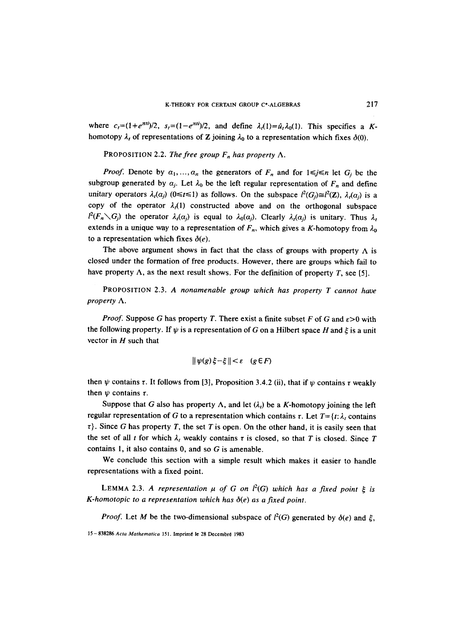where  $c_t=(1+e^{\pi t t})/2$ ,  $s_t=(1-e^{\pi t t})/2$ , and define  $\lambda_t(1)=\hat{\mu}_t\lambda_0(1)$ . This specifies a Khomotopy  $\lambda_t$  of representations of Z joining  $\lambda_0$  to a representation which fixes  $\delta(0)$ .

PROPOSITION 2.2. *The free group*  $F_n$  has property  $\Lambda$ .

*Proof.* Denote by  $\alpha_1, \ldots, \alpha_n$  the generators of  $F_n$  and for  $1 \le j \le n$  let  $G_i$  be the subgroup generated by  $a_j$ . Let  $\lambda_0$  be the left regular representation of  $F_n$  and define unitary operators  $\lambda_i(\alpha_j)$  ( $0 \le t \le 1$ ) as follows. On the subspace  $l^2(G_i) \cong l^2(\mathbb{Z})$ ,  $\lambda_i(\alpha_j)$  is a copy of the operator  $\lambda_i(1)$  constructed above and on the orthogonal subspace  $l^2(F_n\diagdown G_i)$  the operator  $\lambda_i(\alpha_j)$  is equal to  $\lambda_0(\alpha_j)$ . Clearly  $\lambda_i(\alpha_j)$  is unitary. Thus  $\lambda_i$ extends in a unique way to a representation of  $F_n$ , which gives a K-homotopy from  $\lambda_0$ to a representation which fixes  $\delta(e)$ .

The above argument shows in fact that the class of groups with property  $\Lambda$  is closed under the formation of free products. However, there are groups which fail to have property  $\Lambda$ , as the next result shows. For the definition of property T, see [5].

PROPOSITION 2.3. *A nonamenable group which has property T cannot have property A.* 

*Proof.* Suppose G has property T. There exist a finite subset F of G and  $\varepsilon > 0$  with the following property. If  $\psi$  is a representation of G on a Hilbert space H and  $\xi$  is a unit vector in  $H$  such that

$$
\|\psi(g)\xi-\xi\|<\varepsilon\quad(g\in F)
$$

then  $\psi$  contains r. It follows from [3], Proposition 3.4.2 (ii), that if  $\psi$  contains r weakly then  $\psi$  contains  $\tau$ .

Suppose that G also has property  $\Lambda$ , and let  $(\lambda_i)$  be a K-homotopy joining the left regular representation of G to a representation which contains r. Let  $T = \{t : \lambda, \text{ contains } t\}$  $\tau$ ). Since G has property T, the set T is open. On the other hand, it is easily seen that the set of all t for which  $\lambda_i$  weakly contains t is closed, so that T is closed. Since T contains 1, it also contains 0, and so G is amenable.

We conclude this section with a simple result which makes it easier to handle representations with a fixed point.

LEMMA 2.3. A representation  $\mu$  of G on  $l^2(G)$  which has a fixed point  $\xi$  is *K-homotopic to a representation which has 6(e) as a fixed point.* 

*Proof.* Let M be the two-dimensional subspace of  $l^2(G)$  generated by  $\delta(e)$  and  $\xi$ ,

<sup>15-838286</sup> Acta Mathematica 151. Imprimé le 28 Decembré 1983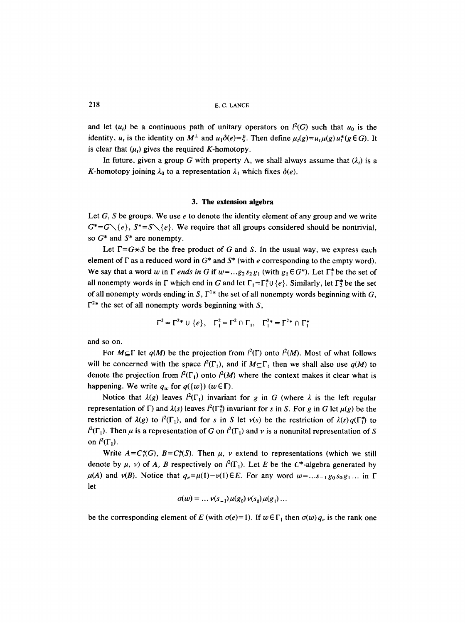and let  $(u_t)$  be a continuous path of unitary operators on  $l^2(G)$  such that  $u_0$  is the identity,  $u_t$  is the identity on  $M^{\perp}$  and  $u_1\delta(e)=\xi$ . Then define  $\mu_t(g)=u_t\mu(g)u_t^*(g\in G)$ . It is clear that  $(\mu_t)$  gives the required K-homotopy.

In future, given a group G with property  $\Lambda$ , we shall always assume that  $(\lambda_i)$  is a K-homotopy joining  $\lambda_0$  to a representation  $\lambda_1$  which fixes  $\delta(e)$ .

#### **3. The extension algebra**

Let  $G$ ,  $S$  be groups. We use  $e$  to denote the identity element of any group and we write  $G^* = G \setminus \{e\}$ ,  $S^* = S \setminus \{e\}$ . We require that all groups considered should be nontrivial. so  $G^*$  and  $S^*$  are nonempty.

Let  $\Gamma = G \star S$  be the free product of G and S. In the usual way, we express each element of  $\Gamma$  as a reduced word in  $G^*$  and  $S^*$  (with e corresponding to the empty word). We say that a word w in  $\Gamma$  *ends in G* if  $w = ...g_2 s_2 g_1$  (with  $g_1 \in G^*$ ). Let  $\Gamma_1^*$  be the set of all nonempty words in  $\Gamma$  which end in G and let  $\Gamma_1 = \Gamma_1^* \cup \{e\}$ . Similarly, let  $\Gamma_2^*$  be the set of all nonempty words ending in S,  $\Gamma^{1*}$  the set of all nonempty words beginning with G,  $\Gamma^{2*}$  the set of all nonempty words beginning with S,

$$
\Gamma^2 = \Gamma^{2*} \cup \{e\}, \quad \Gamma_1^2 = \Gamma^2 \cap \Gamma_1, \quad \Gamma_1^{2*} = \Gamma^{2*} \cap \Gamma_1^*
$$

and so on.

For  $M \subseteq \Gamma$  let  $q(M)$  be the projection from  $l^2(\Gamma)$  onto  $l^2(M)$ . Most of what follows will be concerned with the space  $l^2(\Gamma_1)$ , and if  $M\subseteq\Gamma_1$  then we shall also use  $q(M)$  to denote the projection from  $l^2(\Gamma_1)$  onto  $l^2(M)$  where the context makes it clear what is happening. We write  $q_w$  for  $q(\{w\})$  ( $w \in \Gamma$ ).

Notice that  $\lambda(g)$  leaves  $l^2(\Gamma_1)$  invariant for g in G (where  $\lambda$  is the left regular representation of  $\Gamma$ ) and  $\lambda(s)$  leaves  $l^2(\Gamma_1^*)$  invariant for s in S. For g in G let  $\mu(g)$  be the restriction of  $\lambda(g)$  to  $l^2(\Gamma_1)$ , and for s in S let  $\nu(s)$  be the restriction of  $\lambda(s)q(\Gamma_1^*)$  to  $l^2(\Gamma_1)$ . Then  $\mu$  is a representation of G on  $l^2(\Gamma_1)$  and v is a nonunital representation of S on  $l^2(\Gamma_1)$ .

Write  $A = C^*(G)$ ,  $B = C^*(S)$ . Then  $\mu$ , v extend to representations (which we still denote by  $\mu$ , v) of A, B respectively on  $l^2(\Gamma_1)$ . Let E be the C\*-algebra generated by  $\mu(A)$  and  $\nu(B)$ . Notice that  $q_e = \mu(1) - \nu(1) \in E$ . For any word  $w = ... s_{-1} g_0 s_0 g_1 ...$  in  $\Gamma$ let

$$
\sigma(w) = \dots \nu(s_{-1}) \mu(g_0) \nu(s_0) \mu(g_1) \dots
$$

be the corresponding element of E (with  $\sigma(e)=1$ ). If  $w \in \Gamma_1$  then  $\sigma(w)$   $q_e$  is the rank one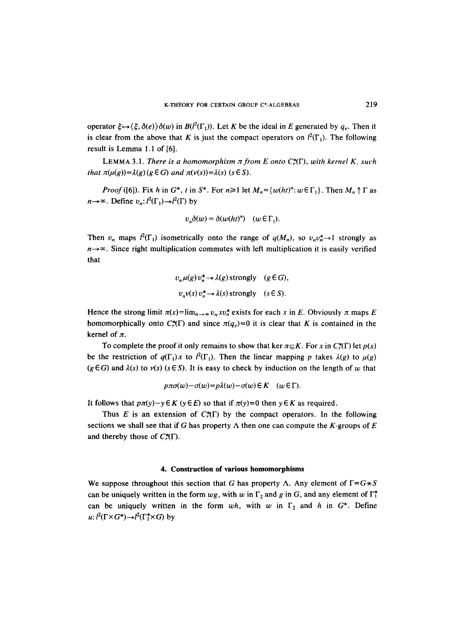operator  $\xi \mapsto \langle \xi, \delta(e) \rangle \delta(w)$  in  $B(l^2(\Gamma_1))$ . Let K be the ideal in E generated by  $q_e$ . Then it is clear from the above that K is just the compact operators on  $l^2(\Gamma_1)$ . The following result is Lemma 1.1 of [6].

**LEMMA 3.1.** *There is a homomorphism*  $\pi$  *from E onto C*<sub> $\pi$ </sub><sup> $\pi$ </sup> $\Gamma$ *), with kernel K, such that*  $\pi(\mu(g)) = \lambda(g) (g \in G)$  *and*  $\pi(\nu(s)) = \lambda(s) (s \in S)$ .

*Proof* ([6]). Fix h in  $G^*$ , t in  $S^*$ . For  $n \ge 1$  let  $M_n = \{w(ht)^n : w \in \Gamma_1\}$ . Then  $M_n \uparrow \Gamma$  as  $n \rightarrow \infty$ . Define  $v_n: l^2(\Gamma_1) \rightarrow l^2(\Gamma)$  by

$$
v_n \delta(w) = \delta(w(ht)^n) \quad (w \in \Gamma_1).
$$

Then  $v_n$  maps  $l^2(\Gamma_1)$  isometrically onto the range of  $q(M_n)$ , so  $v_n v_n^* \rightarrow 1$  strongly as  $n \rightarrow \infty$ . Since right multiplication commutes with left multiplication it is easily verified that

$$
v_n \mu(g) v_n^* \to \lambda(g) \text{ strongly } (g \in G),
$$
  

$$
v_n v(s) v_n^* \to \lambda(s) \text{ strongly } (s \in S).
$$

Hence the strong limit  $\pi(x) = \lim_{n \to \infty} v_n x v_n^*$  exists for each x in E. Obviously  $\pi$  maps E homomorphically onto  $C^*(\Gamma)$  and since  $\pi(q_e)=0$  it is clear that K is contained in the kernel of  $\pi$ .

To complete the proof it only remains to show that ker  $\pi \subseteq K$ . For x in  $C^*(\Gamma)$  let  $p(x)$ be the restriction of  $q(\Gamma_1)x$  to  $l^2(\Gamma_1)$ . Then the linear mapping p takes  $\lambda(g)$  to  $\mu(g)$  $(g \in G)$  and  $\lambda(s)$  to  $\nu(s)$  ( $s \in S$ ). It is easy to check by induction on the length of w that

$$
p\pi\sigma(w)-\sigma(w)=p\lambda(w)-\sigma(w)\in K\quad (w\in\Gamma).
$$

It follows that  $p\pi(y)-y \in K$  ( $y \in E$ ) so that if  $\pi(y)=0$  then  $y \in K$  as required.

Thus E is an extension of  $C^*(\Gamma)$  by the compact operators. In the following sections we shall see that if G has property  $\Lambda$  then one can compute the K-groups of E and thereby those of  $C^*(\Gamma)$ .

#### **4. Construction of various homomorphisms**

We suppose throughout this section that G has property  $\Lambda$ . Any element of  $\Gamma = G \star S$ can be uniquely written in the form  $wg$ , with w in  $\Gamma_2$  and g in G, and any element of  $\Gamma_1^*$ can be uniquely written in the form  $wh$ , with w in  $\Gamma_2$  and h in  $G^*$ . Define  $u: l^2(\Gamma \times G^*) \rightarrow l^2(\Gamma^* \times G)$  by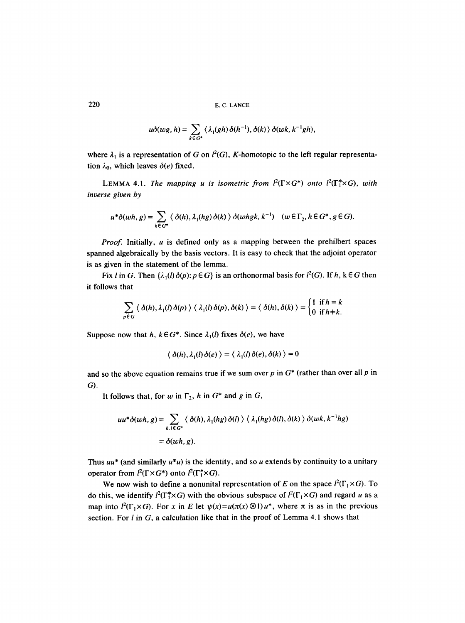$$
u\delta(wg,h)=\sum_{k\in G^*}\langle \lambda_1(gh)\,\delta(h^{-1}),\delta(k)\,\rangle\,\delta(wk,k^{-1}gh),
$$

where  $\lambda_1$  is a representation of G on  $l^2(G)$ , K-homotopic to the left regular representation  $\lambda_0$ , which leaves  $\delta(e)$  fixed.

LEMMA 4.1. *The mapping u is isometric from*  $l^2(\Gamma \times G^*)$  *onto*  $l^2(\Gamma^* \times G)$ , *with inverse given by* 

$$
u^*\delta(wh,g) = \sum_{k \in G^*} \langle \delta(h), \lambda_1(hg) \delta(k) \rangle \delta(whgh, k^{-1}) \quad (w \in \Gamma_2, h \in G^*, g \in G).
$$

*Proof.* Initially, u is defined only as a mapping between the prehilbert spaces spanned algebraically by the basis vectors. It is easy to check that the adjoint operator is as given in the statement of the lemma.

Fix l in G. Then  $\{\lambda_1(l)\delta(p): p \in G\}$  is an orthonormal basis for  $l^2(G)$ . If h, k  $\in G$  then it follows that

$$
\sum_{p\in G} \langle \delta(h), \lambda_1(l) \delta(p) \rangle \langle \lambda_1(l) \delta(p), \delta(k) \rangle = \langle \delta(h), \delta(k) \rangle = \begin{cases} 1 & \text{if } h = k \\ 0 & \text{if } h = k. \end{cases}
$$

Suppose now that h,  $k \in G^*$ . Since  $\lambda_1(l)$  fixes  $\delta(e)$ , we have

$$
\langle \delta(h), \lambda_1(l) \delta(e) \rangle = \langle \lambda_1(l) \delta(e), \delta(k) \rangle = 0
$$

and so the above equation remains true if we sum over  $p$  in  $G^*$  (rather than over all  $p$  in G).

It follows that, for w in  $\Gamma_2$ , h in  $G^*$  and g in G,

$$
uu^*\delta(wh, g) = \sum_{k, l \in G^*} \langle \delta(h), \lambda_1(hg) \delta(l) \rangle \langle \lambda_1(hg) \delta(l), \delta(k) \rangle \delta(wk, k^{-1}hg)
$$
  
=  $\delta(wh, g)$ .

Thus  $uu^*$  (and similarly  $u^*u$ ) is the identity, and so u extends by continuity to a unitary operator from  $l^2(\Gamma \times G^*)$  onto  $l^2(\Gamma^* \times G)$ .

We now wish to define a nonunital representation of E on the space  $l^2(\Gamma_1 \times G)$ . To do this, we identify  $l^2(\Gamma_1^* \times G)$  with the obvious subspace of  $l^2(\Gamma_1 \times G)$  and regard u as a map into  $l^2(\Gamma_1 \times G)$ . For x in E let  $\psi(x) = u(\pi(x) \otimes 1)u^*$ , where  $\pi$  is as in the previous section. For  $I$  in  $G$ , a calculation like that in the proof of Lemma 4.1 shows that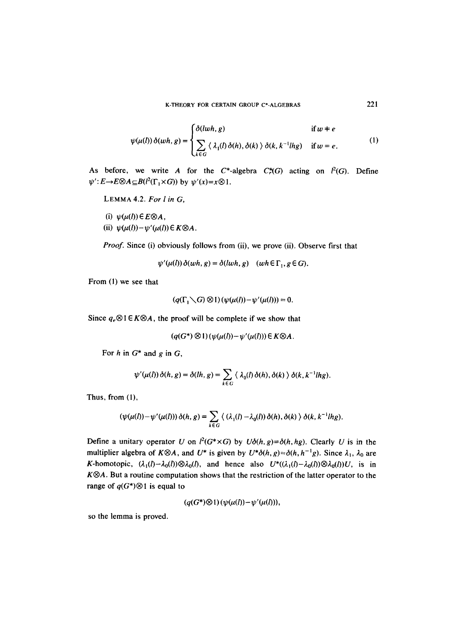$$
\psi(\mu(l))\,\delta(wh,g) = \begin{cases} \delta(lwh,g) & \text{if } w \neq e \\ \sum_{k \in G} \langle \lambda_1(l) \,\delta(h), \delta(k) \,\rangle \,\delta(k, k^{-1}lhg) & \text{if } w = e. \end{cases} \tag{1}
$$

As before, we write A for the  $C^*$ -algebra  $C^*(G)$  acting on  $l^2(G)$ . Define  $\psi'$ :  $E \rightarrow E \otimes A \subseteq B(l^2(\Gamma_1 \times G))$  by  $\psi'(x) = x \otimes 1$ .

LEMMA 4.2. *For l in G,* 

 $(i)$   $\psi(\mu(l)) \in E \otimes A$ , (ii)  $\psi(\mu(l)) - \psi'(\mu(l)) \in K \otimes A$ .

*Proof.* Since (i) obviously follows from (ii), we prove (ii). Observe first that

$$
\psi'(\mu(l))\,\delta(wh,g)=\delta(lwh,g)\quad (wh\,\epsilon\,\Gamma_1,g\,\epsilon\,G).
$$

From (1) we see that

$$
(q(\Gamma_1\diagdown G)\otimes 1)(\psi(\mu(l))-\psi'(\mu(l)))=0.
$$

Since  $q_e \otimes 1 \in K \otimes A$ , the proof will be complete if we show that

$$
(q(G^*)\otimes 1)(\psi(\mu(l))-\psi'(\mu(l)))\in K\otimes A.
$$

For h in  $G^*$  and g in  $G$ ,

$$
\psi'(\mu(l))\,\delta(h,g)=\delta(lh,g)=\sum_{k\in G}\langle\,\lambda_0(l)\,\delta(h),\delta(k)\,\rangle\,\delta(k,k^{-1}lhg).
$$

Thus, from (1),

$$
(\psi(\mu(l)) - \psi'(\mu(l))) \,\delta(h, g) = \sum_{k \in G} \langle (\lambda_1(l) - \lambda_0(l)) \,\delta(h), \delta(k) \rangle \,\delta(k, k^{-1}lhg).
$$

Define a unitary operator U on  $l^2(G^* \times G)$  by  $U\delta(h, g) = \delta(h, hg)$ . Clearly U is in the multiplier algebra of  $K \otimes A$ , and  $U^*$  is given by  $U^* \delta(h, g) = \delta(h, h^{-1}g)$ . Since  $\lambda_1, \lambda_0$  are K-homotopic,  $(\lambda_1(l)-\lambda_0(l))\otimes \lambda_0(l)$ , and hence also  $U^*((\lambda_1(l)-\lambda_0(l))\otimes \lambda_0(l))U$ , is in *K* $\otimes$ *A*. But a routine computation shows that the restriction of the latter operator to the range of  $q(G^*)\otimes 1$  is equal to

 $(q(G^*)\otimes 1)(\psi(\mu(l))-\psi'(\mu(l))),$ 

so the lemma is proved.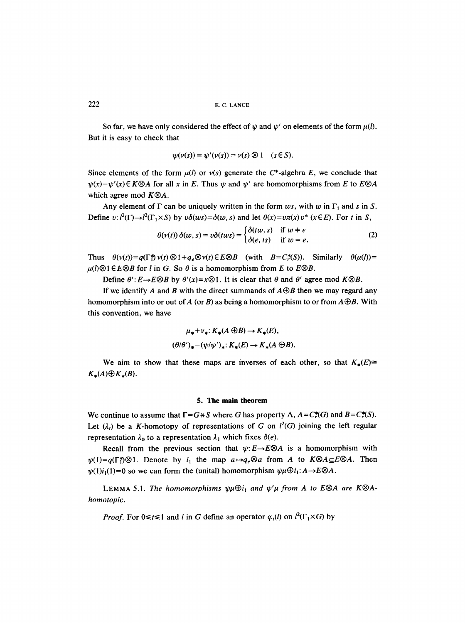So far, we have only considered the effect of  $\psi$  and  $\psi'$  on elements of the form  $\mu(l)$ . But it is easy to check that

$$
\psi(\nu(s)) = \psi'(\nu(s)) = \nu(s) \otimes 1 \quad (s \in S).
$$

Since elements of the form  $\mu(l)$  or  $\nu(s)$  generate the C<sup>\*</sup>-algebra E, we conclude that  $\psi(x)-\psi'(x)\in K\otimes A$  for all x in E. Thus  $\psi$  and  $\psi'$  are homomorphisms from E to  $E\otimes A$ which agree mod  $K \otimes A$ .

Any element of  $\Gamma$  can be uniquely written in the form  $ws$ , with w in  $\Gamma_1$  and s in S. Define v:  $l^2(\Gamma) \rightarrow l^2(\Gamma_1 \times S)$  by  $v\delta(ws) = \delta(w, s)$  and let  $\theta(x) = v\pi(x)v^*$  ( $x \in E$ ). For t in S,

$$
\theta(v(t))\,\delta(w,s)=v\delta(tws)=\begin{cases}\delta(tw,s)&\text{if }w=e\\ \delta(e,ts)&\text{if }w=e.\end{cases}\tag{2}
$$

Thus  $\theta(v(t))=q(\Gamma t)\,v(t)\otimes 1+q_e\otimes v(t)\in E\otimes B$  (with  $B=C_r^*(S)$ ). Similarly  $\theta(u(t))=$  $\mu(l) \otimes 1 \in E \otimes B$  for *l* in *G*. So  $\theta$  is a homomorphism from *E* to *E* $\otimes$ *B*.

Define  $\theta'$ :  $E \rightarrow E \otimes B$  by  $\theta'(x) = x \otimes 1$ . It is clear that  $\theta$  and  $\theta'$  agree mod  $K \otimes B$ .

If we identify A and B with the direct summands of  $A \oplus B$  then we may regard any homomorphism into or out of A (or B) as being a homomorphism to or from  $A \oplus B$ . With this convention, we have

$$
\mu_* + \nu_* \colon K_*(A \oplus B) \to K_*(E),
$$
  

$$
(\theta/\theta')_* - (\psi/\psi')_* \colon K_*(E) \to K_*(A \oplus B).
$$

We aim to show that these maps are inverses of each other, so that  $K_{\star}(E) \cong$  $K_*(A) \oplus K_*(B)$ .

#### **5. The main theorem**

We continue to assume that  $\Gamma = G \star S$  where G has property  $\Lambda$ ,  $A = C^* (G)$  and  $B = C^* (S)$ . Let  $(\lambda_i)$  be a K-homotopy of representations of G on  $l^2(G)$  joining the left regular representation  $\lambda_0$  to a representation  $\lambda_1$  which fixes  $\delta(e)$ .

Recall from the previous section that  $\psi: E \rightarrow E \otimes A$  is a homomorphism with  $\psi(1)=q(\Gamma_1^*)\otimes 1$ . Denote by  $i_1$  the map  $a\mapsto q_e\otimes a$  from A to  $K\otimes A\subseteq E\otimes A$ . Then  $\psi(1)i_1(1)=0$  so we can form the (unital) homomorphism  $\psi\mu\oplus i_1: A\rightarrow E\otimes A$ .

LEMMA 5.1. The homomorphisms  $\psi \mu \oplus i_1$  and  $\psi' \mu$  from A to E $\otimes$ A are K $\otimes$ A*homotopic.* 

*Proof.* For  $0 \le t \le 1$  and l in G define an operator  $\varphi_t(l)$  on  $l^2(\Gamma_1 \times G)$  by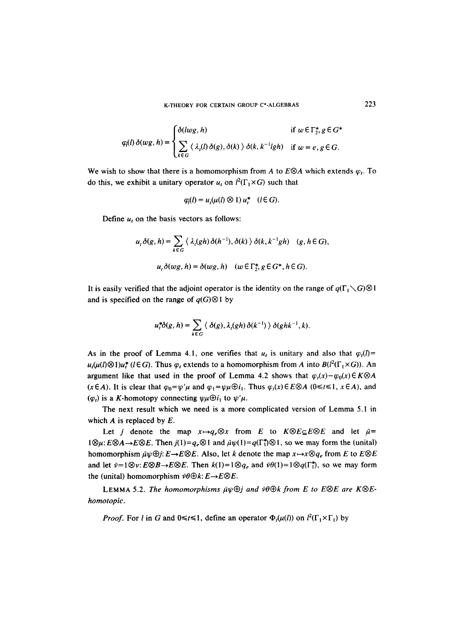K-THEORY FOR CERTAIN GROUP C\*-ALGEBRAS 223

$$
\varphi_l(l)\,\delta(wg,h) = \begin{cases} \delta(lwg,h) & \text{if } w \in \Gamma_2^*, g \in G^* \\ \sum_{k \in G} \langle \lambda_i(l)\,\delta(g), \delta(k) \rangle \,\delta(k, k^{-1}lgh) & \text{if } w = e, g \in G. \end{cases}
$$

We wish to show that there is a homomorphism from A to  $E \otimes A$  which extends  $\varphi_t$ . To do this, we exhibit a unitary operator  $u_t$  on  $l^2(\Gamma_1 \times G)$  such that

$$
\varphi_i(l) = u_i(\mu(l) \otimes 1) u_i^* \quad (l \in G).
$$

Define  $u_t$  on the basis vectors as follows:

$$
u_t \delta(g, h) = \sum_{k \in G} \langle \lambda_t(gh) \delta(h^{-1}), \delta(k) \rangle \delta(k, k^{-1}gh) \quad (g, h \in G),
$$
  

$$
u_t \delta(wg, h) = \delta(wg, h) \quad (w \in \Gamma_2^*, g \in G^*, h \in G).
$$

It is easily verified that the adjoint operator is the identity on the range of  $q(\Gamma_1 \setminus G) \otimes 1$ and is specified on the range of  $q(G) \otimes 1$  by

$$
u_t^*\delta(g,h)=\sum_{k\in G}\langle\delta(g),\lambda_t(gh)\,\delta(k^{-1})\,\rangle\,\delta(ghk^{-1},k).
$$

As in the proof of Lemma 4.1, one verifies that  $u_t$  is unitary and also that  $\varphi_t(l)$  =  $u_t(\mu(l) \otimes 1)u_t^*$  (l  $\in G$ ). Thus  $\varphi_t$  extends to a homomorphism from A into  $B(l^2(\Gamma_1 \times G))$ . An argument like that used in the proof of Lemma 4.2 shows that  $\varphi_1(x) - \varphi_0(x) \in K \otimes A$  $(x \in A)$ . It is clear that  $\varphi_0 = \psi'\mu$  and  $\varphi_1 = \psi\mu \oplus i_1$ . Thus  $\varphi_t(x) \in E \otimes A$  ( $0 \le t \le 1$ ,  $x \in A$ ), and  $(\varphi_t)$  is a K-homotopy connecting  $\psi \mu \oplus i_1$  to  $\psi' \mu$ .

The next result which we need is a more complicated version of Lemma 5.1 in which  $A$  is replaced by  $E$ .

Let *j* denote the map  $x \mapsto q_e \otimes x$  from *E* to  $K \otimes E \subseteq E \otimes E$  and let  $\bar{\mu} =$  $1 \otimes \mu$ :  $E \otimes A \rightarrow E \otimes E$ . Then  $j(1)=q_e \otimes 1$  and  $\bar{\mu}\psi(1)=q(\Gamma_1^*) \otimes 1$ , so we may form the (unital) homomorphism  $\bar{\mu}\psi\oplus j: E\rightarrow E\otimes E$ . Also, let k denote the map  $x\mapsto x\otimes q_e$  from E to  $E\otimes E$ and let  $\bar{\nu}=1\otimes \nu$ :  $E\otimes B\rightarrow E\otimes E$ . Then  $k(1)=1\otimes q_e$  and  $\bar{\nu}\theta(1)=1\otimes q(\Gamma_1^*)$ , so we may form the (unital) homomorphism  $\bar{\nu}\theta \oplus k: E \rightarrow E \otimes E$ .

LEMMA 5.2. The homomorphisms  $\bar{\mu}\psi\oplus j$  and  $\bar{\nu}\theta\oplus k$  from E to E $\otimes E$  are K $\otimes E$ *homotopic.* 

*Proof.* For l in G and  $0 \le t \le 1$ , define an operator  $\Phi_t(\mu(l))$  on  $l^2(\Gamma_1 \times \Gamma_1)$  by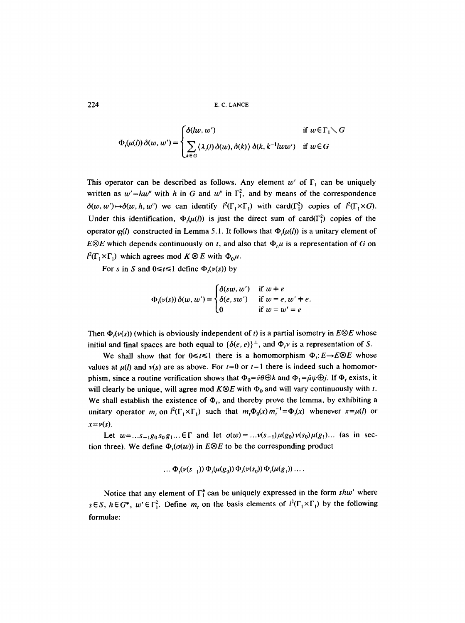$$
\Phi_t(\mu(l))\,\delta(w,w') = \begin{cases} \delta(lw,w') & \text{if } w \in \Gamma_1 \setminus G \\ \sum_{k \in G} \langle \lambda_t(l) \,\delta(w), \delta(k) \rangle \,\delta(k, k^{-1}lww') & \text{if } w \in G \end{cases}
$$

This operator can be described as follows. Any element w' of  $\Gamma_1$  can be uniquely written as  $w' = hw''$  with h in G and w'' in  $\Gamma_1^2$ , and by means of the correspondence  $\delta(w, w') \rightarrow \delta(w, h, w'')$  we can identify  $l^2(\Gamma_1 \times \Gamma_1)$  with card( $\Gamma_1^2$ ) copies of  $l^2(\Gamma_1 \times G)$ . Under this identification,  $\Phi(\mu(l))$  is just the direct sum of card( $\Gamma_1^2$ ) copies of the operator  $q_l(l)$  constructed in Lemma 5.1. It follows that  $\Phi_l(\mu(l))$  is a unitary element of *E* $\otimes$ *E* which depends continuously on t, and also that  $\Phi$ ,  $\mu$  is a representation of G on  $l^2(\Gamma_1 \times \Gamma_1)$  which agrees mod  $K \otimes E$  with  $\Phi_0 \mu$ .

For s in S and  $0 \le t \le 1$  define  $\Phi_t(\nu(s))$  by

$$
\Phi_t(\nu(s))\,\delta(w,w') = \begin{cases} \delta(sw,w') & \text{if } w \neq e \\ \delta(e, sw') & \text{if } w = e, w' \neq e. \\ 0 & \text{if } w = w' = e \end{cases}
$$

Then  $\Phi_i(\nu(s))$  (which is obviously independent of t) is a partial isometry in  $E \otimes E$  whose initial and final spaces are both equal to  $\{\delta(e, e)\}^{\perp}$ , and  $\Phi_t v$  is a representation of S.

We shall show that for  $0 \le t \le 1$  there is a homomorphism  $\Phi_t: E \to E \otimes E$  whose values at  $\mu(l)$  and  $\nu(s)$  are as above. For  $t=0$  or  $t=1$  there is indeed such a homomorphism, since a routine verification shows that  $\Phi_0 = \bar{\nu} \theta \oplus k$  and  $\Phi_1 = \bar{\mu} \psi \oplus j$ . If  $\Phi_t$  exists, it will clearly be unique, will agree mod  $K \otimes E$  with  $\Phi_0$  and will vary continuously with t. We shall establish the existence of  $\Phi_t$ , and thereby prove the lemma, by exhibiting a unitary operator *m*, on  $l^2(\Gamma_1 \times \Gamma_1)$  such that  $m_l \Phi_0(x) m_l^{-1} = \Phi_l(x)$  whenever  $x = \mu(l)$  or  $x = v(s)$ .

Let  $w = ...s_{-1}g_0s_0g_1...$  E r and let  $\sigma(w) = ...v(s_{-1})\mu(g_0)v(s_0)\mu(g_1)...$  (as in section three). We define  $\Phi_i(\sigma(w))$  in  $E \otimes E$  to be the corresponding product

$$
\ldots \Phi_{t}(\nu(s_{-1})) \Phi_{t}(\mu(g_0)) \Phi_{t}(\nu(s_0)) \Phi_{t}(\mu(g_1)) \ldots
$$

Notice that any element of  $\Gamma_1^*$  can be uniquely expressed in the form  $shw'$  where  $s \in S$ ,  $h \in G^*$ ,  $w' \in \Gamma_1^2$ . Define  $m_t$  on the basis elements of  $l^2(\Gamma_1 \times \Gamma_1)$  by the following formulae: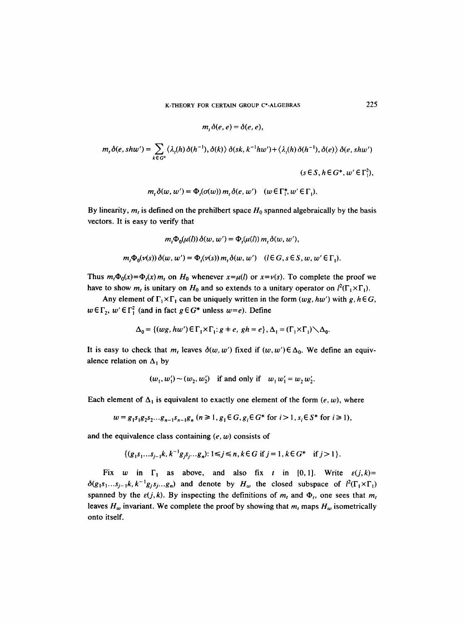$$
m_t \delta(e, e) = \delta(e, e),
$$
  
\n
$$
m_t \delta(e, shw') = \sum_{k \in G^*} \langle \lambda_i(h) \delta(h^{-1}), \delta(k) \rangle \delta(sk, k^{-1}hw') + \langle \lambda_i(h) \delta(h^{-1}), \delta(e) \rangle \delta(e, shw')
$$
  
\n
$$
(s \in S, h \in G^*, w' \in \Gamma_1^2),
$$
  
\n
$$
m_t \delta(w, w') = \Phi_t(\sigma(w)) m_t \delta(e, w') \quad (w \in \Gamma_1^*, w' \in \Gamma_1).
$$

By linearity,  $m_t$  is defined on the prehilbert space  $H_0$  spanned algebraically by the basis

vectors. It is easy to verify that

$$
m_t \Phi_0(u(l)) \delta(w, w') = \Phi_t(u(l)) m_t \delta(w, w'),
$$
  

$$
m_t \Phi_0(v(s)) \delta(w, w') = \Phi_t(v(s)) m_t \delta(w, w') \quad (l \in G, s \in S, w, w' \in \Gamma_1).
$$

Thus  $m_t\Phi_0(x)=\Phi_t(x)m_t$  on  $H_0$  whenever  $x=\mu(l)$  or  $x=\nu(s)$ . To complete the proof we have to show  $m_t$  is unitary on  $H_0$  and so extends to a unitary operator on  $l^2(\Gamma_1 \times \Gamma_1)$ .

Any element of  $\Gamma_1 \times \Gamma_1$  can be uniquely written in the form  $(wg, hw')$  with g,  $h \in G$ ,  $w \in \Gamma_2$ ,  $w' \in \Gamma_1^2$  (and in fact  $g \in G^*$  unless  $w = e$ ). Define

$$
\Delta_0 = \{ (wg, hw') \in \Gamma_1 \times \Gamma_1 : g \neq e, gh = e \}, \Delta_1 = (\Gamma_1 \times \Gamma_1) \setminus \Delta_0.
$$

It is easy to check that  $m_t$  leaves  $\delta(w, w')$  fixed if  $(w, w') \in \Delta_0$ . We define an equivalence relation on  $\Delta_1$  by

$$
(w_1, w_1') \sim (w_2, w_2')
$$
 if and only if  $w_1 w_1' = w_2 w_2'.$ 

Each element of  $\Delta_1$  is equivalent to exactly one element of the form  $(e, w)$ , where

$$
w = g_1 s_1 g_2 s_2 \dots g_{n-1} s_{n-1} g_n \ (n \ge 1, g_1 \in G, g_i \in G^* \text{ for } i > 1, s_i \in S^* \text{ for } i \ge 1),
$$

and the equivalence class containing  $(e, w)$  consists of

$$
\{(g_1s_1...s_{i-1}k, k^{-1}g_i s_i...g_n): 1 \le j \le n, k \in G \text{ if } j = 1, k \in G^* \text{ if } j > 1\}.
$$

Fix w in  $\Gamma_1$  as above, and also fix t in [0,1]. Write  $\varepsilon(j,k)=$  $\delta(g_1s_1...s_{j-1}k, k^{-1}g_js_j...g_n)$  and denote by  $H_w$  the closed subspace of  $l^2(\Gamma_1\times\Gamma_1)$ spanned by the  $\varepsilon(j, k)$ . By inspecting the definitions of  $m_t$  and  $\Phi_t$ , one sees that  $m_t$ leaves  $H_w$  invariant. We complete the proof by showing that  $m_t$  maps  $H_w$  isometrically onto itself.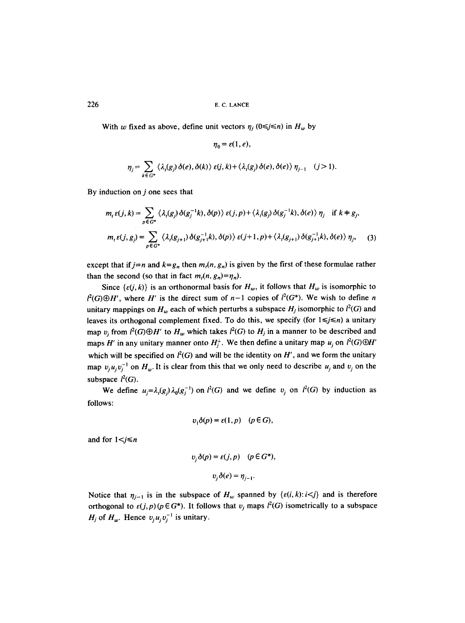With w fixed as above, define unit vectors  $\eta_i$  ( $0 \le j \le n$ ) in  $H_w$  by

$$
\eta_j = \sum_{k \in G^*} \langle \lambda_i(g_j) \, \delta(e), \delta(k) \rangle \, \varepsilon(j,k) + \langle \lambda_i(g_j) \, \delta(e), \delta(e) \rangle \, \eta_{j-1} \quad (j > 1).
$$

 $n_0 = \varepsilon(1, e)$ ,

By induction on  $j$  one sees that

$$
m_{t}\varepsilon(j,k) = \sum_{p\in G^{*}} \langle \lambda_{t}(g_{j})\,\delta(g_{j}^{-1}k),\,\delta(p)\,\rangle\,\varepsilon(j,p) + \langle \lambda_{t}(g_{j})\,\delta(g_{j}^{-1}k),\,\delta(e)\,\rangle\,\eta_{j} \quad \text{if } k \neq g_{j},
$$

$$
m_{t}\varepsilon(j,g_{j}) = \sum_{p\in G^{*}} \langle \lambda_{t}(g_{j+1})\,\delta(g_{j+1}^{-1}k),\,\delta(p)\,\rangle\,\varepsilon(j+1,p) + \langle \lambda_{t}(g_{j+1})\,\delta(g_{j+1}^{-1}k),\,\delta(e)\,\rangle\,\eta_{j}, \tag{3}
$$

except that if  $j=n$  and  $k=g_n$  then  $m_i(n, g_n)$  is given by the first of these formulae rather than the second (so that in fact  $m_l(n, g_n)=\eta_n$ ).

Since  $\{\varepsilon(j, k)\}\$ is an orthonormal basis for  $H_w$ , it follows that  $H_w$  is isomorphic to  $l^2(G)\oplus H'$ , where H' is the direct sum of  $n-1$  copies of  $l^2(G^*)$ . We wish to define n unitary mappings on  $H_w$  each of which perturbs a subspace  $H_j$  isomorphic to  $l^2(G)$  and leaves its orthogonal complement fixed. To do this, we specify (for  $1 \le j \le n$ ) a unitary map  $v_i$  from  $l^2(G)\oplus H'$  to  $H_w$  which takes  $l^2(G)$  to  $H_j$  in a manner to be described and maps H' in any unitary manner onto  $H_i^{\perp}$ . We then define a unitary map  $u_j$  on  $l^2(G)\oplus H'$ which will be specified on  $l^2(G)$  and will be the identity on  $H'$ , and we form the unitary map  $v_j u_j v_j^{-1}$  on  $H_w$ . It is clear from this that we only need to describe  $u_j$  and  $v_j$  on the subspace  $l^2(G)$ .

We define  $u_j = \lambda_i(g_j)\lambda_0(g_j^{-1})$  on  $l^2(G)$  and we define  $v_j$  on  $l^2(G)$  by induction as follows:

$$
v_1\delta(p) = \varepsilon(1, p) \quad (p \in G),
$$

and for  $1 < j \le n$ 

$$
v_j \delta(p) = \varepsilon(j, p) \quad (p \in G^*),
$$
  

$$
v_j \delta(e) = \eta_{j-1}.
$$

Notice that  $\eta_{i-1}$  is in the subspace of  $H_w$  spanned by  $\{\varepsilon(i,k):i\leq j\}$  and is therefore orthogonal to  $\varepsilon(j,p)(p \in G^*)$ . It follows that  $v_j$  maps  $l^2(G)$  isometrically to a subspace  $H_j$  of  $H_w$ . Hence  $v_j u_j v_j^{-1}$  is unitary.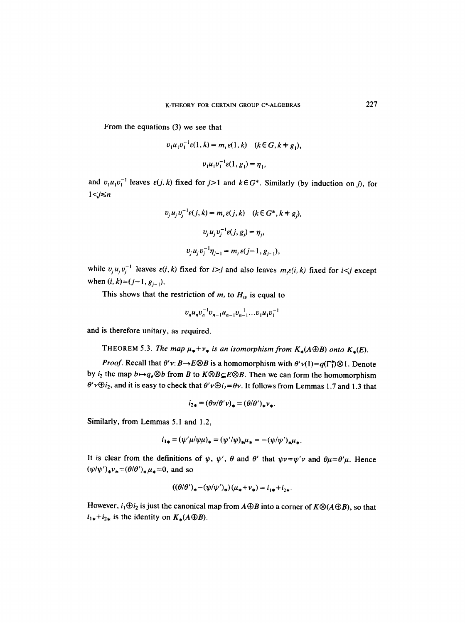From the equations (3) we see that

$$
v_1 u_1 v_1^{-1} \varepsilon(1, k) = m_r \varepsilon(1, k) \quad (k \in G, k \neq g_1),
$$
  

$$
v_1 u_1 v_1^{-1} \varepsilon(1, g_1) = \eta_1,
$$

and  $v_1u_1v_1^{-1}$  leaves  $\varepsilon(j, k)$  fixed for  $j>1$  and  $k \in G^*$ . Similarly (by induction on j), for  $1 < j \leq n$ 

$$
v_j u_j v_j^{-1} \varepsilon(j, k) = m_t \varepsilon(j, k) \quad (k \in G^*, k \neq g_j),
$$
  

$$
v_j u_j v_j^{-1} \varepsilon(j, g_j) = \eta_j,
$$
  

$$
v_j u_j v_j^{-1} \eta_{j-1} = m_t \varepsilon(j-1, g_{j-1}),
$$

while  $v_j u_j v_j^{-1}$  leaves  $\varepsilon(i, k)$  fixed for  $i > j$  and also leaves  $m_i \varepsilon(i, k)$  fixed for  $i < j$  except when  $(i, k)=(j-1, g_{j-1}).$ 

This shows that the restriction of  $m_t$  to  $H_w$  is equal to

$$
v_n u_n v_n^{-1} v_{n-1} u_{n-1} v_{n-1}^{-1} \dots v_1 u_1 v_1^{-1}
$$

and is therefore unitary, as required.

THEOREM 5.3. *The map*  $\mu_* + \nu_*$  *is an isomorphism from*  $K_*(A \oplus B)$  *onto*  $K_*(E)$ .

*Proof.* Recall that  $\theta'v: B \to E \otimes B$  is a homomorphism with  $\theta'v(1) = q(\Gamma_1^*) \otimes 1$ . Denote by  $i_2$  the map  $b \mapsto q_e \otimes b$  from B to  $K \otimes B \subseteq E \otimes B$ . Then we can form the homomorphism  $\theta' \nu \oplus i_2$ , and it is easy to check that  $\theta' \nu \oplus i_2 = \theta \nu$ . It follows from Lemmas 1.7 and 1.3 that

$$
i_{2*} = (\theta \nu/\theta' \nu)_* = (\theta/\theta')_* \nu_*.
$$

Similarly, from Lemmas 5.1 and 1.2,

$$
i_{1*} = (\psi'\mu/\psi\mu)_* = (\psi'/\psi)_* \mu_* = -(\psi/\psi')_* \mu_*.
$$

It is clear from the definitions of  $\psi$ ,  $\psi'$ ,  $\theta$  and  $\theta'$  that  $\psi v = \psi'v$  and  $\theta\mu = \theta'\mu$ . Hence  $(\psi/\psi')_*\nu_*=(\theta/\theta')_*\mu_*=0$ , and so

$$
((\theta/\theta')_{*}-(\psi/\psi')_{*})(\mu_{*}+\nu_{*})=i_{1*}+i_{2*}.
$$

However,  $i_1 \oplus i_2$  is just the canonical map from  $A \oplus B$  into a corner of  $K \otimes (A \oplus B)$ , so that  $i_{1*}+i_{2*}$  is the identity on  $K_*(A \oplus B)$ .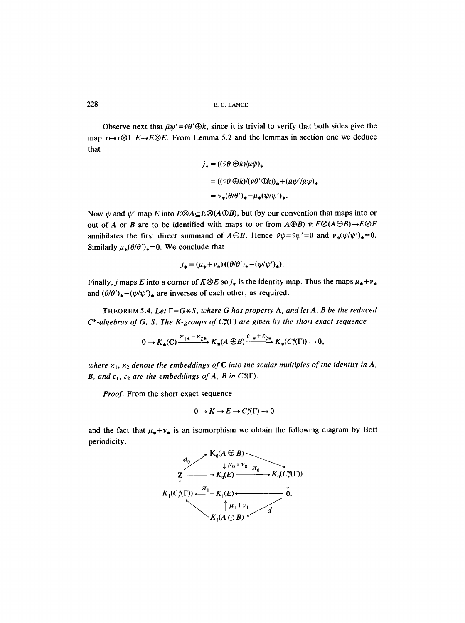Observe next that  $\bar{u}w'=\bar{v}\theta'\oplus k$ , since it is trivial to verify that both sides give the map  $x \mapsto x \otimes 1$ :  $E \rightarrow E \otimes E$ . From Lemma 5.2 and the lemmas in section one we deduce that

$$
j_* = ((\bar{\nu}\theta \oplus k)/\mu\bar{\psi})_*
$$
  
= ((\bar{\nu}\theta \oplus k)/(\bar{\nu}\theta' \oplus k))\_\* + (\bar{\mu}\psi'/\bar{\mu}\psi)\_\*  
=  $\nu_*(\theta/\theta')_* - \mu_*(\psi/\psi')_*.$ 

Now  $\psi$  and  $\psi'$  map E into  $E\otimes A \subset E\otimes (A \oplus B)$ , but (by our convention that maps into or out of A or B are to be identified with maps to or from  $A \oplus B$ )  $\bar{\nu}$ :  $E \otimes (A \oplus B) \rightarrow E \otimes E$ annihilates the first direct summand of  $A \oplus B$ . Hence  $\bar{\nu}\psi = \bar{\nu}\psi' = 0$  and  $v_*(\psi/\psi')_* = 0$ . Similarly  $\mu_*(\theta/\theta')_*=0$ . We conclude that

$$
j_* = (\mu_* + \nu_*)( (\theta/\theta')_* - (\psi/\psi')_*).
$$

Finally, j maps E into a corner of  $K \otimes E$  so  $j_*$  is the identity map. Thus the maps  $\mu_* + \nu_*$ and  $(\theta/\theta')_*-(\psi/\psi')_*$  are inverses of each other, as required.

THEOREM 5.4. Let  $\Gamma = G \star S$ , where G has property  $\Lambda$ , and let A, B be the reduced  $C^*$ -algebras of G, S. The K-groups of  $C^*_r(\Gamma)$  are given by the short exact sequence

$$
0 \to K_*(C) \xrightarrow{\varkappa_{1*}-\varkappa_{2*}} K_*(A \oplus B) \xrightarrow{\varepsilon_{1*}+\varepsilon_{2*}} K_*(C^*(\Gamma)) \to 0,
$$

where  $x_1$ ,  $x_2$  denote the embeddings of C into the scalar multiples of the identity in A, *B, and*  $\varepsilon_1$ *,*  $\varepsilon_2$  *are the embeddings of A, B in C*<sup>\*</sup>( $\Gamma$ ).

*Proof.* From the short exact sequence

$$
0 \to K \to E \to C_r^*(\Gamma) \to 0
$$

and the fact that  $\mu_* + \nu_*$  is an isomorphism we obtain the following diagram by Bott periodicity.

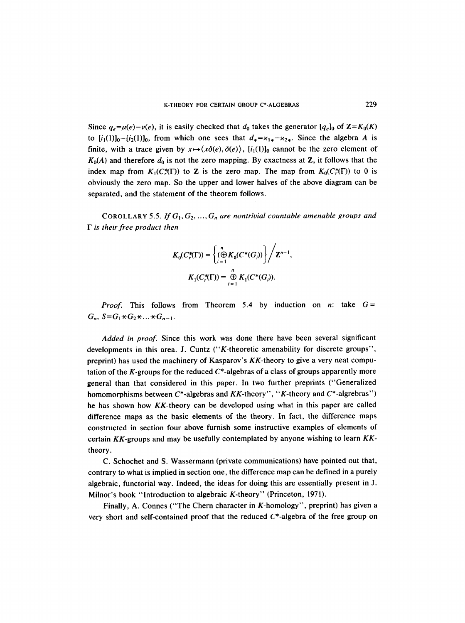Since  $q_e=\mu(e)-\nu(e)$ , it is easily checked that  $d_0$  takes the generator  $[q_e]_0$  of  $\mathbb{Z}=K_0(K)$ to  $[i_1(1)]_0-[i_2(1)]_0$ , from which one sees that  $d_*=\kappa_{1*}-\kappa_{2*}$ . Since the algebra A is finite, with a trace given by  $x \mapsto \langle x\delta(e), \delta(e) \rangle$ ,  $[i_1(1)]_0$  cannot be the zero element of  $K_0(A)$  and therefore  $d_0$  is not the zero mapping. By exactness at Z, it follows that the index map from  $K_1(C^*(\Gamma))$  to Z is the zero map. The map from  $K_0(C^*(\Gamma))$  to 0 is obviously the zero map. So the upper and lower halves of the above diagram can be separated, and the statement of the theorem follows.

COROLLARY 5.5. If  $G_1, G_2, ..., G_n$  are nontrivial countable amenable groups and *F is their free product then* 

$$
K_0(C_r^*(\Gamma)) = \left\{ \left. \bigoplus_{i=1}^n K_0(C^*(G_i)) \right\} \right/ \mathbf{Z}^{n-1},
$$
  

$$
K_1(C_r^*(\Gamma)) = \bigoplus_{i=1}^n K_1(C^*(G_i)).
$$

*Proof.* This follows from Theorem 5.4 by induction on n: take  $G=$  $G_n$ ,  $S = G_1 * G_2 * ... * G_{n-1}$ .

*Added in proof.* Since this work was done there have been several significant developments in this area. J. Cuntz ("K-theoretic amenability for discrete groups", preprint) has used the machinery of Kasparov's KK-theory to give a very neat computation of the K-groups for the reduced  $C^*$ -algebras of a class of groups apparently more general than that considered in this paper. In two further preprints ("Generalized homomorphisms between  $C^*$ -algebras and  $KK$ -theory", "K-theory and  $C^*$ -algrebras") he has shown how KK-theory can be developed using what in this paper are called difference maps as the basic elements of the theory. In fact, the difference maps constructed in section four above furnish some instructive examples of elements of certain KK-groups and may be usefully contemplated by anyone wishing to learn *KK*theory.

C. Schochet and S. Wassermann (private communications) have pointed out that, contrary to what is implied in section one, the difference map can be defined in a purely algebraic, functorial way. Indeed, the ideas for doing this are essentially present in J. Milnor's book "Introduction to algebraic K-theory" (Princeton, 1971).

Finally, A. Connes ("The Chern character in K-homology", preprint) has given a very short and self-contained proof that the reduced  $C^*$ -algebra of the free group on